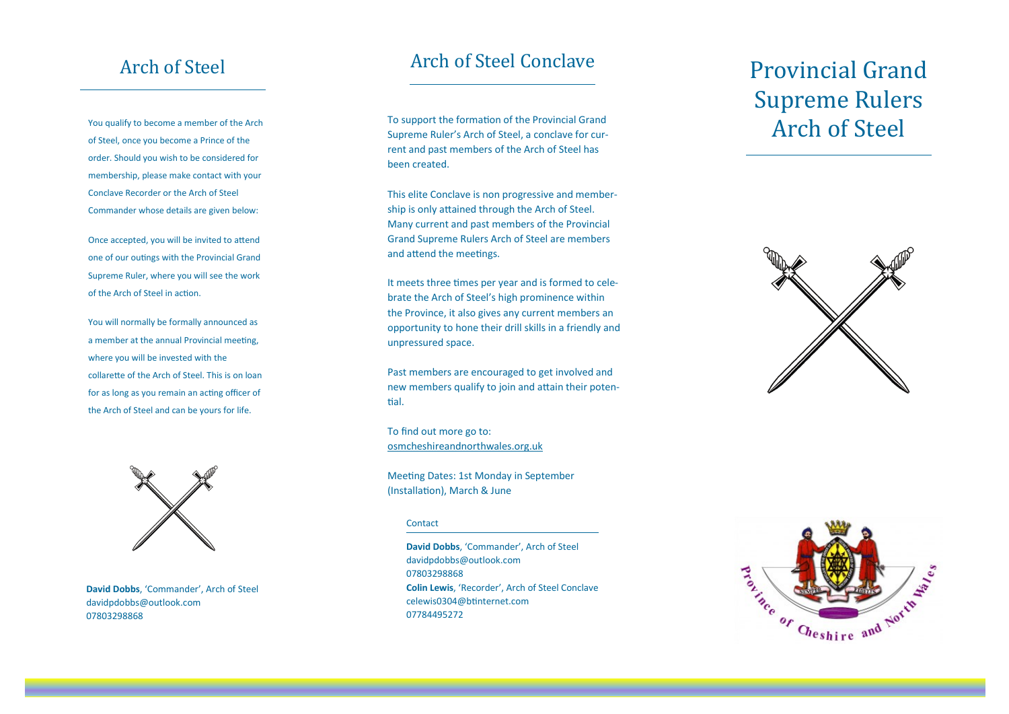## Arch of Steel

You qualify to become a member of the Arch of Steel, once you become a Prince of the order. Should you wish to be considered for membership, please make contact with your Conclave Recorder or the Arch of Steel Commander whose details are given below:

Once accepted, you will be invited to attend one of our outings with the Provincial Grand Supreme Ruler, where you will see the work of the Arch of Steel in action.

You will normally be formally announced as a member at the annual Provincial meeting, where you will be invested with the collarette of the Arch of Steel. This is on loan for as long as you remain an acting officer of the Arch of Steel and can be yours for life.



**David Dobbs**, 'Commander', Arch of Steel davidpdobbs@outlook.com 07803298868

## Arch of Steel Conclave

To support the formation of the Provincial Grand Supreme Ruler's Arch of Steel, a conclave for current and past members of the Arch of Steel has been created.

This elite Conclave is non progressive and membership is only attained through the Arch of Steel. Many current and past members of the Provincial Grand Supreme Rulers Arch of Steel are members and attend the meetings.

It meets three times per year and is formed to celebrate the Arch of Steel's high prominence within the Province, it also gives any current members an opportunity to hone their drill skills in a friendly and unpressured space.

Past members are encouraged to get involved and new members qualify to join and attain their potential.

To find out more go to: osmcheshireandnorthwales.org.uk

Meeting Dates: 1st Monday in September (Installation), March & June

### **Contact**

**David Dobbs**, 'Commander', Arch of Steel davidpdobbs@outlook.com 07803298868 **Colin Lewis**, 'Recorder', Arch of Steel Conclave celewis0304@btinternet.com 07784495272

# Provincial Grand Supreme Rulers Arch of Steel